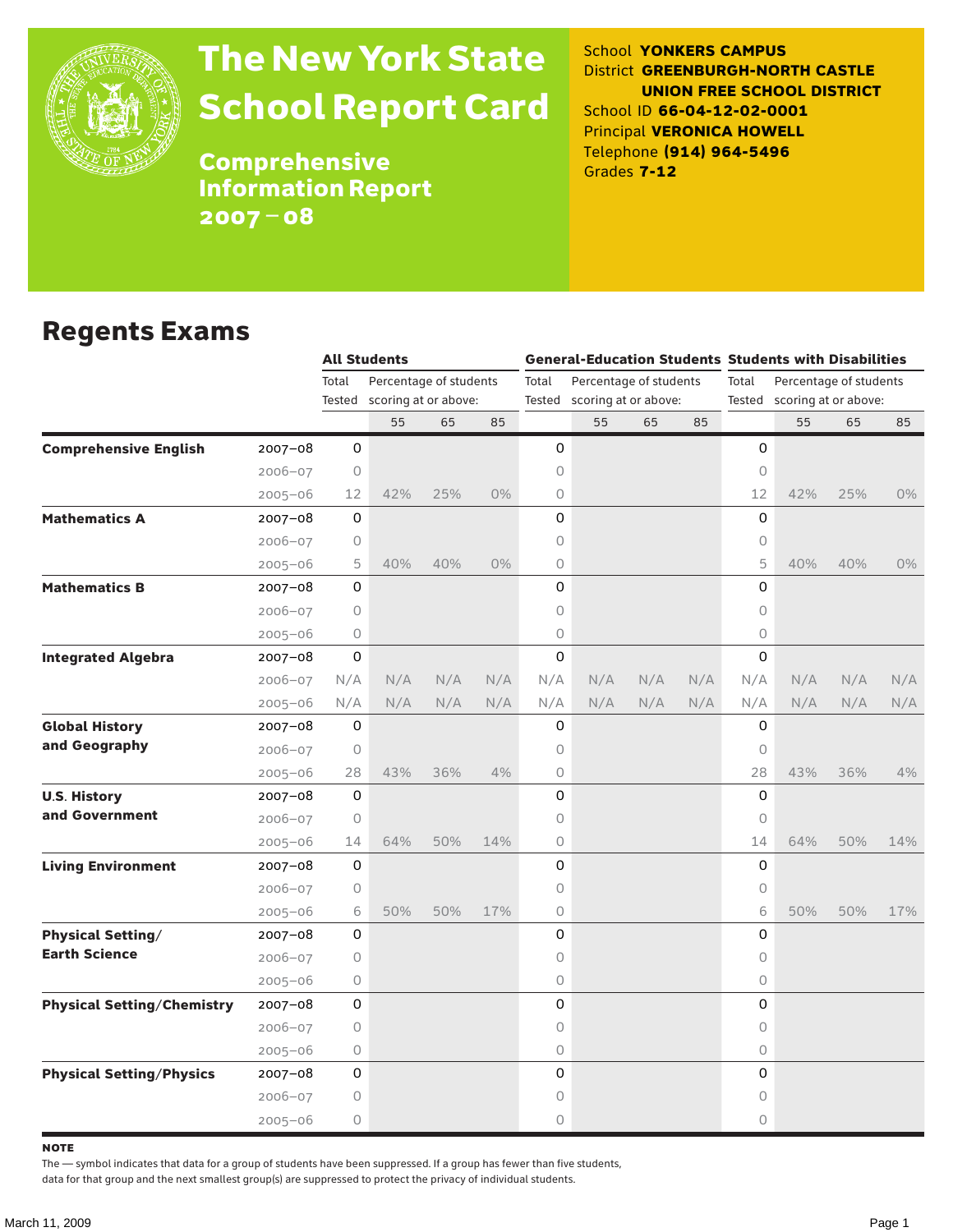

# The New York State School Report Card

School **YONKERS CAMPUS** District **GREENBURGH-NORTH CASTLE UNION FREE SCHOOL DISTRICT** School ID **66-04-12-02-0001** Principal **VERONICA HOWELL** Telephone **(914) 964-5496** Grades **7-12**

**Comprehensive** Information Report 2007–08

#### Regents Exams

|                                   |             |         | <b>All Students</b>    |     |       |                                 | <b>General-Education Students Students with Disabilities</b> |     |       |                             |     |     |       |
|-----------------------------------|-------------|---------|------------------------|-----|-------|---------------------------------|--------------------------------------------------------------|-----|-------|-----------------------------|-----|-----|-------|
|                                   |             | Total   | Percentage of students |     |       | Total<br>Percentage of students |                                                              |     | Total | Percentage of students      |     |     |       |
|                                   |             | Tested  | scoring at or above:   |     |       | Tested scoring at or above:     |                                                              |     |       | Tested scoring at or above: |     |     |       |
|                                   |             |         | 55                     | 65  | 85    |                                 | 55                                                           | 65  | 85    |                             | 55  | 65  | 85    |
| <b>Comprehensive English</b>      | $2007 - 08$ | 0       |                        |     |       | 0                               |                                                              |     |       | 0                           |     |     |       |
|                                   | $2006 - 07$ | $\circ$ |                        |     |       | 0                               |                                                              |     |       | $\circ$                     |     |     |       |
|                                   | $2005 - 06$ | 12      | 42%                    | 25% | $0\%$ | 0                               |                                                              |     |       | 12                          | 42% | 25% | $0\%$ |
| <b>Mathematics A</b>              | $2007 - 08$ | 0       |                        |     |       | 0                               |                                                              |     |       | 0                           |     |     |       |
|                                   | $2006 - 07$ | 0       |                        |     |       | 0                               |                                                              |     |       | 0                           |     |     |       |
|                                   | $2005 - 06$ | 5       | 40%                    | 40% | $0\%$ | 0                               |                                                              |     |       | 5                           | 40% | 40% | $0\%$ |
| <b>Mathematics B</b>              | $2007 - 08$ | 0       |                        |     |       | 0                               |                                                              |     |       | 0                           |     |     |       |
|                                   | $2006 - 07$ | 0       |                        |     |       | 0                               |                                                              |     |       | $\circ$                     |     |     |       |
|                                   | $2005 - 06$ | 0       |                        |     |       | 0                               |                                                              |     |       | $\circ$                     |     |     |       |
| <b>Integrated Algebra</b>         | 2007-08     | 0       |                        |     |       | 0                               |                                                              |     |       | 0                           |     |     |       |
|                                   | $2006 - 07$ | N/A     | N/A                    | N/A | N/A   | N/A                             | N/A                                                          | N/A | N/A   | N/A                         | N/A | N/A | N/A   |
|                                   | $2005 - 06$ | N/A     | N/A                    | N/A | N/A   | N/A                             | N/A                                                          | N/A | N/A   | N/A                         | N/A | N/A | N/A   |
| <b>Global History</b>             | $2007 - 08$ | 0       |                        |     |       | 0                               |                                                              |     |       | 0                           |     |     |       |
| and Geography                     | $2006 - 07$ | 0       |                        |     |       | 0                               |                                                              |     |       | 0                           |     |     |       |
|                                   | $2005 - 06$ | 28      | 43%                    | 36% | 4%    | 0                               |                                                              |     |       | 28                          | 43% | 36% | 4%    |
| <b>U.S. History</b>               | $2007 - 08$ | 0       |                        |     |       | 0                               |                                                              |     |       | 0                           |     |     |       |
| and Government                    | $2006 - 07$ | 0       |                        |     |       | 0                               |                                                              |     |       | 0                           |     |     |       |
|                                   | $2005 - 06$ | 14      | 64%                    | 50% | 14%   | 0                               |                                                              |     |       | 14                          | 64% | 50% | 14%   |
| <b>Living Environment</b>         | $2007 - 08$ | 0       |                        |     |       | 0                               |                                                              |     |       | 0                           |     |     |       |
|                                   | $2006 - 07$ | 0       |                        |     |       | 0                               |                                                              |     |       | $\circ$                     |     |     |       |
|                                   | $2005 - 06$ | 6       | 50%                    | 50% | 17%   | 0                               |                                                              |     |       | 6                           | 50% | 50% | 17%   |
| <b>Physical Setting/</b>          | $2007 - 08$ | 0       |                        |     |       | 0                               |                                                              |     |       | 0                           |     |     |       |
| <b>Earth Science</b>              | $2006 - 07$ | 0       |                        |     |       | 0                               |                                                              |     |       | $\circ$                     |     |     |       |
|                                   | $2005 - 06$ | 0       |                        |     |       | 0                               |                                                              |     |       | $\circ$                     |     |     |       |
| <b>Physical Setting/Chemistry</b> | 2007-08     | 0       |                        |     |       | 0                               |                                                              |     |       | 0                           |     |     |       |
|                                   | $2006 - 07$ | 0       |                        |     |       | 0                               |                                                              |     |       | $\Omega$                    |     |     |       |
|                                   | $2005 - 06$ | 0       |                        |     |       | 0                               |                                                              |     |       | $\circ$                     |     |     |       |
| <b>Physical Setting/Physics</b>   | $2007 - 08$ | 0       |                        |     |       | 0                               |                                                              |     |       | 0                           |     |     |       |
|                                   | $2006 - 07$ | 0       |                        |     |       | 0                               |                                                              |     |       | 0                           |     |     |       |
|                                   | $2005 - 06$ | 0       |                        |     |       | 0                               |                                                              |     |       | $\circ$                     |     |     |       |

**NOTE** 

The — symbol indicates that data for a group of students have been suppressed. If a group has fewer than five students,

data for that group and the next smallest group(s) are suppressed to protect the privacy of individual students.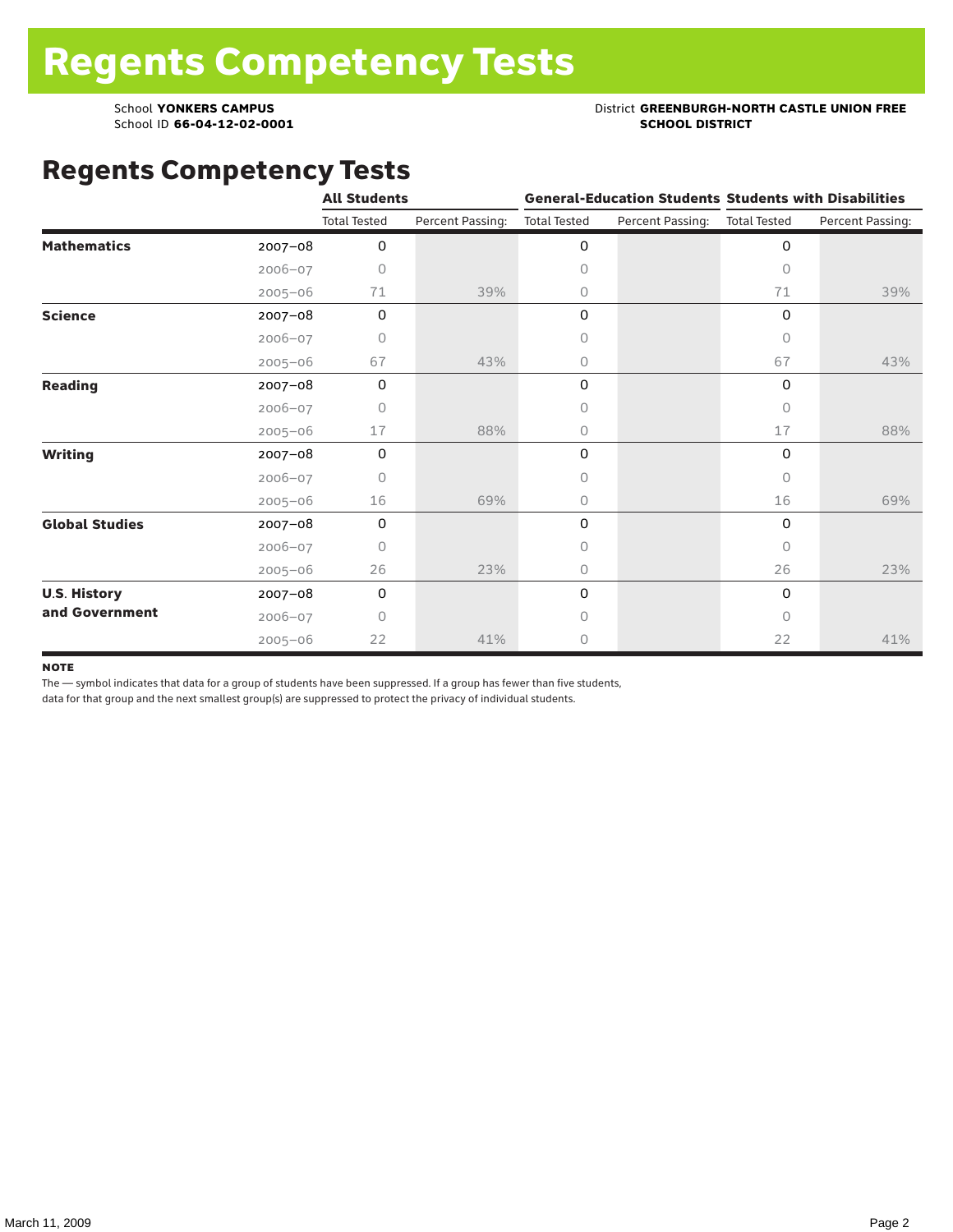School ID 66-04-12-02-0001

#### School **YONKERS CAMPUS**<br>
School ID 66-04-12-02-0001<br>
School ID 66-04-12-02-0001

#### Regents Competency Tests

|                       |             | <b>All Students</b> |                  |                     |                  | <b>General-Education Students Students with Disabilities</b> |                  |  |
|-----------------------|-------------|---------------------|------------------|---------------------|------------------|--------------------------------------------------------------|------------------|--|
|                       |             | <b>Total Tested</b> | Percent Passing: | <b>Total Tested</b> | Percent Passing: | <b>Total Tested</b>                                          | Percent Passing: |  |
| <b>Mathematics</b>    | $2007 - 08$ | 0                   |                  | 0                   |                  | 0                                                            |                  |  |
|                       | $2006 - 07$ | 0                   |                  | $\mathsf O$         |                  | $\Omega$                                                     |                  |  |
|                       | $2005 - 06$ | 71                  | 39%              | 0                   |                  | 71                                                           | 39%              |  |
| <b>Science</b>        | 2007-08     | 0                   |                  | $\mathsf{O}$        |                  | $\Omega$                                                     |                  |  |
|                       | $2006 - 07$ | 0                   |                  | $\circ$             |                  | $\circ$                                                      |                  |  |
|                       | $2005 - 06$ | 67                  | 43%              | 0                   |                  | 67                                                           | 43%              |  |
| <b>Reading</b>        | $2007 - 08$ | 0                   |                  | 0                   |                  | 0                                                            |                  |  |
|                       | $2006 - 07$ | $\bigcap$           |                  | $\circ$             |                  | $\bigcap$                                                    |                  |  |
|                       | $2005 - 06$ | 17                  | 88%              | 0                   |                  | 17                                                           | 88%              |  |
| <b>Writing</b>        | 2007-08     | 0                   |                  | 0                   |                  | 0                                                            |                  |  |
|                       | $2006 - 07$ | 0                   |                  | $\circ$             |                  | $\bigcap$                                                    |                  |  |
|                       | $2005 - 06$ | 16                  | 69%              | 0                   |                  | 16                                                           | 69%              |  |
| <b>Global Studies</b> | 2007-08     | 0                   |                  | 0                   |                  | 0                                                            |                  |  |
|                       | $2006 - 07$ | 0                   |                  | 0                   |                  | $\Omega$                                                     |                  |  |
|                       | $2005 - 06$ | 26                  | 23%              | 0                   |                  | 26                                                           | 23%              |  |
| <b>U.S. History</b>   | 2007-08     | 0                   |                  | 0                   |                  | 0                                                            |                  |  |
| and Government        | $2006 - 07$ | $\bigcap$           |                  | $\circ$             |                  | $\bigcap$                                                    |                  |  |
|                       | $2005 - 06$ | 22                  | 41%              | 0                   |                  | 22                                                           | 41%              |  |

#### **NOTE**

The — symbol indicates that data for a group of students have been suppressed. If a group has fewer than five students,

data for that group and the next smallest group(s) are suppressed to protect the privacy of individual students.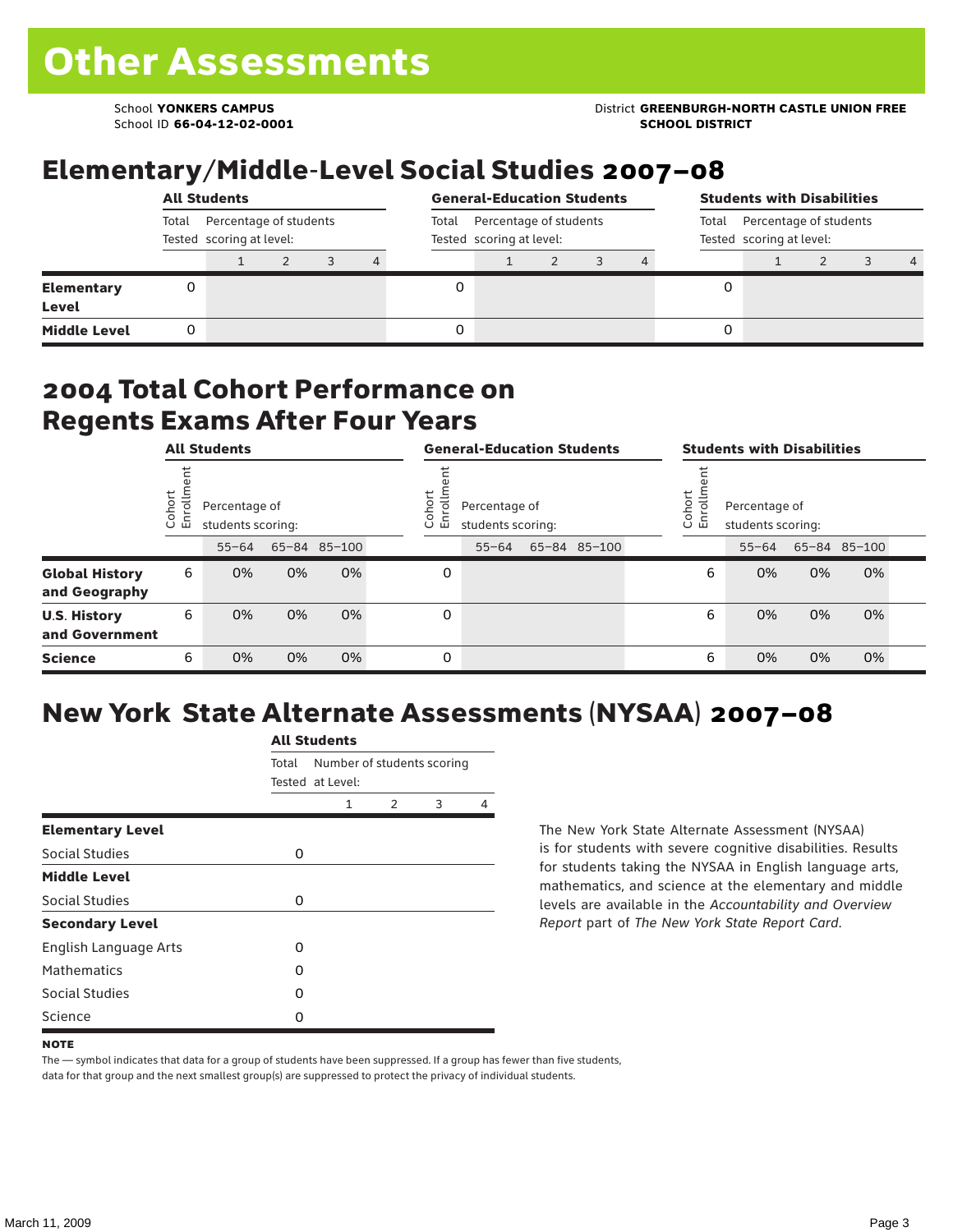School ID **66-04-12-02-0001 SCHOOL DISTRICT**

#### School **YONKERS CAMPUS** District **GREENBURGH-NORTH CASTLE UNION FREE**

#### Elementary/Middle-Level Social Studies 2007–08

|                                   | <b>All Students</b>                                         |  |  |  |   |  | <b>General-Education Students</b><br>Percentage of students<br>Total<br>Tested scoring at level: |  |  |  | <b>Students with Disabilities</b><br>Total Percentage of students<br>Tested scoring at level: |  |  |  |                |
|-----------------------------------|-------------------------------------------------------------|--|--|--|---|--|--------------------------------------------------------------------------------------------------|--|--|--|-----------------------------------------------------------------------------------------------|--|--|--|----------------|
|                                   | Percentage of students<br>Total<br>Tested scoring at level: |  |  |  |   |  |                                                                                                  |  |  |  |                                                                                               |  |  |  |                |
|                                   |                                                             |  |  |  | 4 |  |                                                                                                  |  |  |  |                                                                                               |  |  |  | $\overline{4}$ |
| <b>Elementary</b><br><b>Level</b> |                                                             |  |  |  |   |  |                                                                                                  |  |  |  |                                                                                               |  |  |  |                |
| <b>Middle Level</b>               |                                                             |  |  |  |   |  |                                                                                                  |  |  |  |                                                                                               |  |  |  |                |

#### 2004 Total Cohort Performance on Regents Exams After Four Years

|                                        |                  | <b>All Students</b>                |    |              |                  | <b>General-Education Students</b>  |  |              |  | <b>Students with Disabilities</b>                      |           |    |              |  |
|----------------------------------------|------------------|------------------------------------|----|--------------|------------------|------------------------------------|--|--------------|--|--------------------------------------------------------|-----------|----|--------------|--|
|                                        | Cohort<br>o<br>ᇛ | Percentage of<br>students scoring: |    |              | Cohort<br>ㅎ<br>띧 | Percentage of<br>students scoring: |  |              |  | Cohort<br>Percentage of<br>ā<br>모<br>students scoring: |           |    |              |  |
|                                        |                  | $55 - 64$                          |    | 65-84 85-100 |                  | $55 - 64$                          |  | 65-84 85-100 |  |                                                        | $55 - 64$ |    | 65-84 85-100 |  |
| <b>Global History</b><br>and Geography | 6                | 0%                                 | 0% | 0%           | 0                |                                    |  |              |  | 6                                                      | 0%        | 0% | 0%           |  |
| <b>U.S. History</b><br>and Government  | 6                | 0%                                 | 0% | 0%           | 0                |                                    |  |              |  | 6                                                      | 0%        | 0% | 0%           |  |
| <b>Science</b>                         | 6                | 0%                                 | 0% | 0%           | 0                |                                    |  |              |  | 6                                                      | 0%        | 0% | 0%           |  |

## New York State Alternate Assessments (NYSAA) 2007–08

|                         | <b>All Students</b> |                            |                |   |   |  |  |  |  |
|-------------------------|---------------------|----------------------------|----------------|---|---|--|--|--|--|
|                         | Total               | Number of students scoring |                |   |   |  |  |  |  |
|                         |                     | Tested at Level:           |                |   |   |  |  |  |  |
|                         |                     | 1                          | $\mathfrak{D}$ | 3 | 4 |  |  |  |  |
| <b>Elementary Level</b> |                     |                            |                |   |   |  |  |  |  |
| Social Studies          | 0                   |                            |                |   |   |  |  |  |  |
| <b>Middle Level</b>     |                     |                            |                |   |   |  |  |  |  |
| Social Studies          | 0                   |                            |                |   |   |  |  |  |  |
| <b>Secondary Level</b>  |                     |                            |                |   |   |  |  |  |  |
| English Language Arts   | O                   |                            |                |   |   |  |  |  |  |
| <b>Mathematics</b>      | O                   |                            |                |   |   |  |  |  |  |
| Social Studies          | O                   |                            |                |   |   |  |  |  |  |
| Science                 | 0                   |                            |                |   |   |  |  |  |  |

The New York State Alternate Assessment (NYSAA) is for students with severe cognitive disabilities. Results for students taking the NYSAA in English language arts, mathematics, and science at the elementary and middle levels are available in the *Accountability and Overview Report* part of *The New York State Report Card*.

The — symbol indicates that data for a group of students have been suppressed. If a group has fewer than five students, data for that group and the next smallest group(s) are suppressed to protect the privacy of individual students.

**NOTE**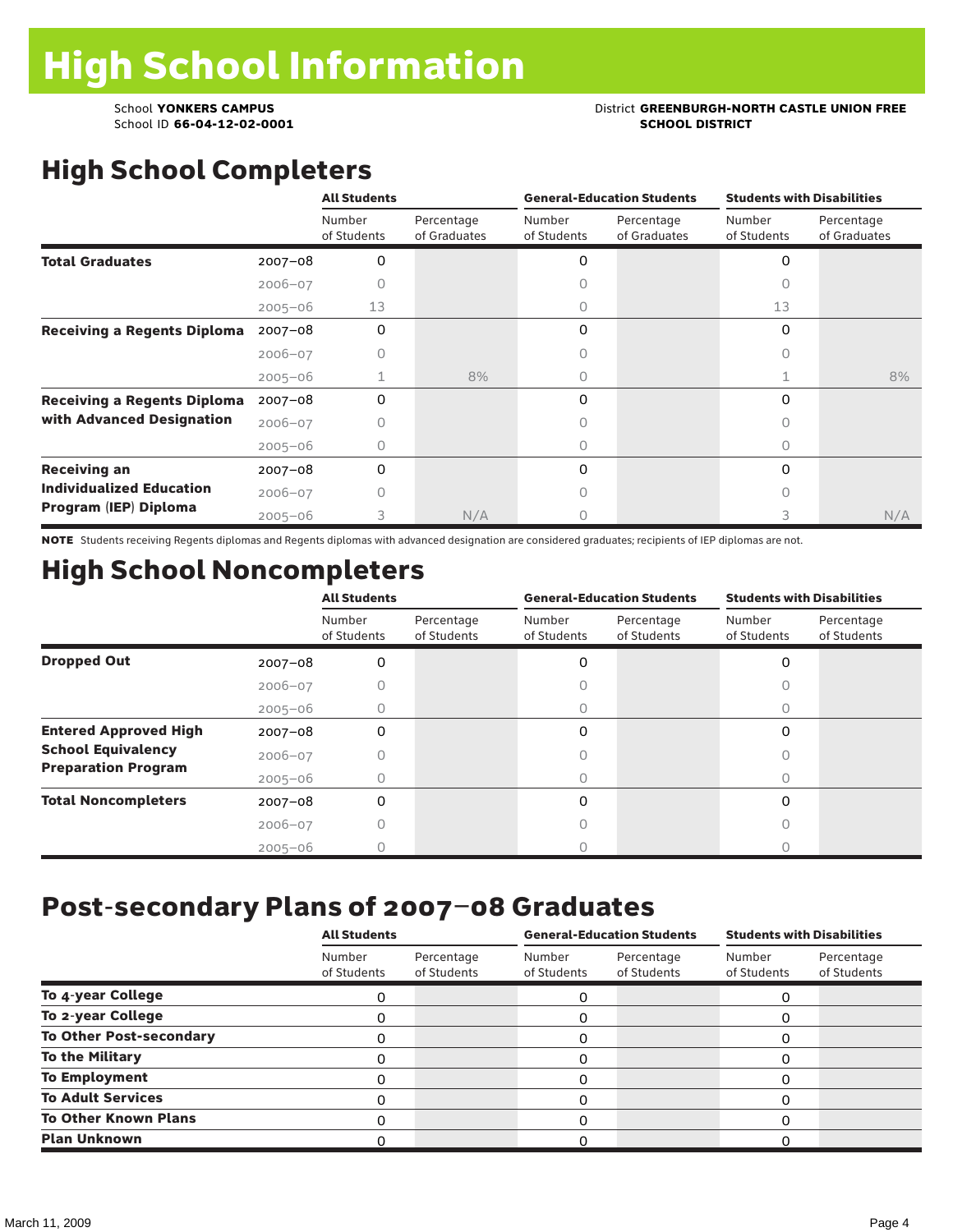School ID 66-04-12-02-0001

## School **YONKERS CAMPUS**<br>
School ID 66-04-12-02-0001<br>
School ID 66-04-12-02-0001

# High School Completers

|                                    |             | <b>All Students</b>   |                            |                       | <b>General-Education Students</b> | <b>Students with Disabilities</b> |                            |  |
|------------------------------------|-------------|-----------------------|----------------------------|-----------------------|-----------------------------------|-----------------------------------|----------------------------|--|
|                                    |             | Number<br>of Students | Percentage<br>of Graduates | Number<br>of Students | Percentage<br>of Graduates        | Number<br>of Students             | Percentage<br>of Graduates |  |
| <b>Total Graduates</b>             | $2007 - 08$ | 0                     |                            | 0                     |                                   | 0                                 |                            |  |
|                                    | $2006 - 07$ | Ω                     |                            | Ω                     |                                   |                                   |                            |  |
|                                    | $2005 - 06$ | 13                    |                            | 0                     |                                   | 13                                |                            |  |
| <b>Receiving a Regents Diploma</b> | $2007 - 08$ | O                     |                            | 0                     |                                   | 0                                 |                            |  |
|                                    | $2006 - 07$ | 0                     |                            | 0                     |                                   | Ω                                 |                            |  |
|                                    | $2005 - 06$ |                       | 8%                         | 0                     |                                   |                                   | 8%                         |  |
| <b>Receiving a Regents Diploma</b> | $2007 - 08$ | 0                     |                            | $\Omega$              |                                   | 0                                 |                            |  |
| with Advanced Designation          | $2006 - 07$ | Ω                     |                            | 0                     |                                   |                                   |                            |  |
|                                    | $2005 - 06$ | Ω                     |                            | $\circ$               |                                   | 0                                 |                            |  |
| <b>Receiving an</b>                | $2007 - 08$ | 0                     |                            | 0                     |                                   | 0                                 |                            |  |
| <b>Individualized Education</b>    | $2006 - 07$ |                       |                            |                       |                                   |                                   |                            |  |
| Program (IEP) Diploma              | $2005 - 06$ | 3                     | N/A                        | 0                     |                                   | 3                                 | N/A                        |  |

NOTE Students receiving Regents diplomas and Regents diplomas with advanced designation are considered graduates; recipients of IEP diplomas are not.

## High School Noncompleters

|                              |             | <b>All Students</b>   |                           |                       | <b>General-Education Students</b> | <b>Students with Disabilities</b> |                           |  |
|------------------------------|-------------|-----------------------|---------------------------|-----------------------|-----------------------------------|-----------------------------------|---------------------------|--|
|                              |             | Number<br>of Students | Percentage<br>of Students | Number<br>of Students | Percentage<br>of Students         | Number<br>of Students             | Percentage<br>of Students |  |
| <b>Dropped Out</b>           | $2007 - 08$ | 0                     |                           | 0                     |                                   | 0                                 |                           |  |
|                              | $2006 - 07$ |                       |                           | C                     |                                   |                                   |                           |  |
|                              | $2005 - 06$ |                       |                           | 0                     |                                   | 0                                 |                           |  |
| <b>Entered Approved High</b> | $2007 - 08$ | 0                     |                           | 0                     |                                   | $\Omega$                          |                           |  |
| <b>School Equivalency</b>    | $2006 - 07$ |                       |                           |                       |                                   |                                   |                           |  |
| <b>Preparation Program</b>   | $2005 - 06$ | 0                     |                           | 0                     |                                   | 0                                 |                           |  |
| <b>Total Noncompleters</b>   | $2007 - 08$ | 0                     |                           | 0                     |                                   | $\Omega$                          |                           |  |
|                              | $2006 - 07$ |                       |                           |                       |                                   |                                   |                           |  |
|                              | $2005 - 06$ |                       |                           |                       |                                   |                                   |                           |  |

#### Post-secondary Plans of 2007–08 Graduates

|                                | <b>All Students</b>   |                           |                       | <b>General-Education Students</b> | <b>Students with Disabilities</b> |                           |  |
|--------------------------------|-----------------------|---------------------------|-----------------------|-----------------------------------|-----------------------------------|---------------------------|--|
|                                | Number<br>of Students | Percentage<br>of Students | Number<br>of Students | Percentage<br>of Students         | Number<br>of Students             | Percentage<br>of Students |  |
| To 4-year College              |                       |                           | O                     |                                   |                                   |                           |  |
| To 2-year College              |                       |                           | Ω                     |                                   |                                   |                           |  |
| <b>To Other Post-secondary</b> |                       |                           | 0                     |                                   |                                   |                           |  |
| <b>To the Military</b>         |                       |                           | 0                     |                                   |                                   |                           |  |
| <b>To Employment</b>           |                       |                           |                       |                                   |                                   |                           |  |
| <b>To Adult Services</b>       |                       |                           | 0                     |                                   |                                   |                           |  |
| <b>To Other Known Plans</b>    |                       |                           | ი                     |                                   |                                   |                           |  |
| <b>Plan Unknown</b>            |                       |                           |                       |                                   |                                   |                           |  |